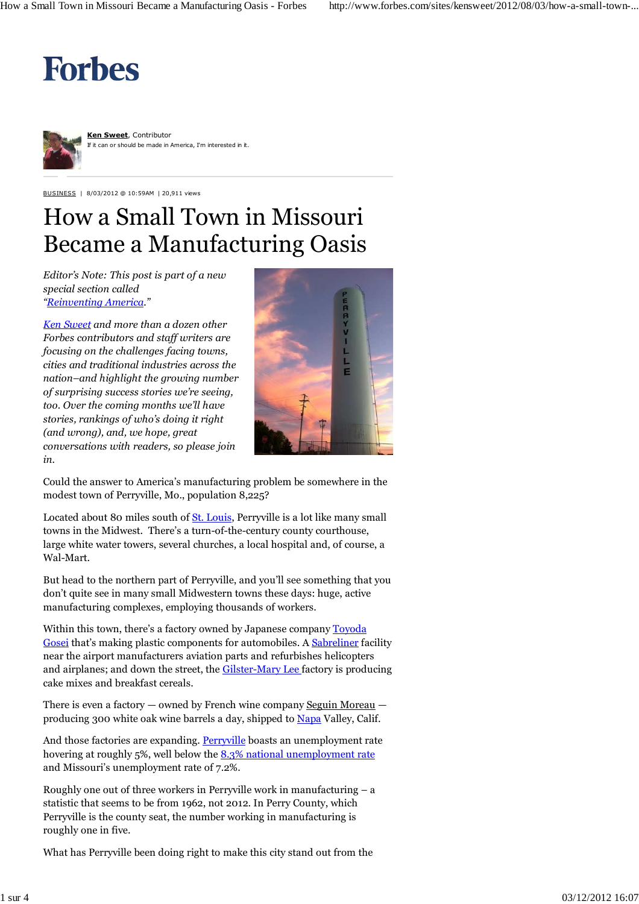## **Forbes**



**Ken Sweet**, Contributor it can or should be made in America, I'm interested in it.

BUSINESS | 8/03/2012 @ 10:59AM | 20,911 views

## How a Small Town in Missouri Became a Manufacturing Oasis

*Editor's Note: This post is part of a new special section called "Reinventing America."*

*Ken Sweet and more than a dozen other Forbes contributors and staff writers are focusing on the challenges facing towns, cities and traditional industries across the nation–and highlight the growing number of surprising success stories we're seeing, too. Over the coming months we'll have stories, rankings of who's doing it right (and wrong), and, we hope, great conversations with readers, so please join in.*



Could the answer to America's manufacturing problem be somewhere in the modest town of Perryville, Mo., population 8,225?

Located about 80 miles south of **St. Louis**, Perryville is a lot like many small towns in the Midwest. There's a turn-of-the-century county courthouse, large white water towers, several churches, a local hospital and, of course, a Wal-Mart.

But head to the northern part of Perryville, and you'll see something that you don't quite see in many small Midwestern towns these days: huge, active manufacturing complexes, employing thousands of workers.

Within this town, there's a factory owned by Japanese company Toyoda Gosei that's making plastic components for automobiles. A Sabreliner facility near the airport manufacturers aviation parts and refurbishes helicopters and airplanes; and down the street, the Gilster-Mary Lee factory is producing cake mixes and breakfast cereals.

There is even a factory — owned by French wine company Seguin Moreau producing 300 white oak wine barrels a day, shipped to Napa Valley, Calif.

And those factories are expanding. Perryville boasts an unemployment rate hovering at roughly 5%, well below the 8.3% national unemployment rate and Missouri's unemployment rate of 7.2%.

Roughly one out of three workers in Perryville work in manufacturing – a statistic that seems to be from 1962, not 2012. In Perry County, which Perryville is the county seat, the number working in manufacturing is roughly one in five.

What has Perryville been doing right to make this city stand out from the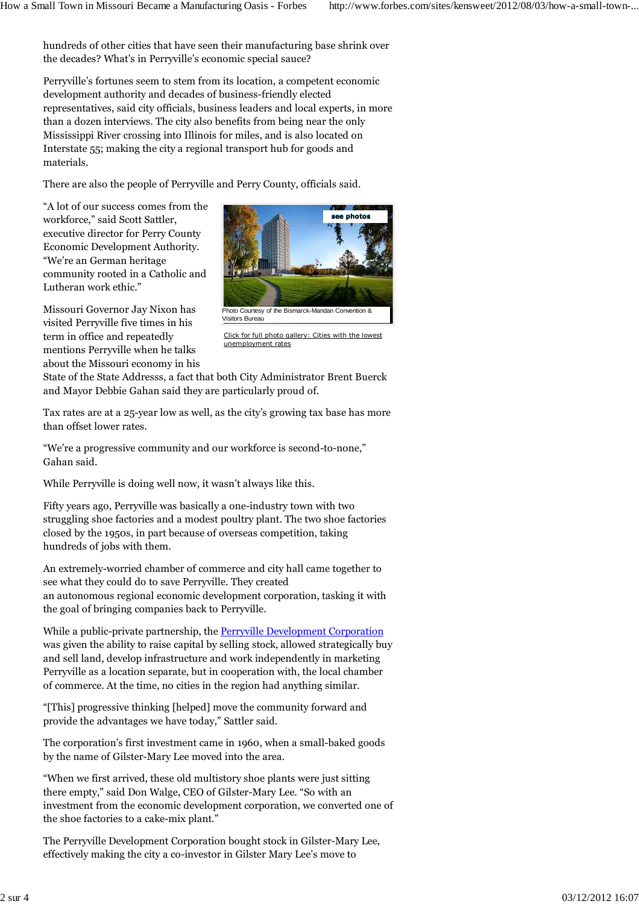hundreds of other cities that have seen their manufacturing base shrink over the decades? What's in Perryville's economic special sauce?

Perryville's fortunes seem to stem from its location, a competent economic development authority and decades of business-friendly elected representatives, said city officials, business leaders and local experts, in more than a dozen interviews. The city also benefits from being near the only Mississippi River crossing into Illinois for miles, and is also located on Interstate 55; making the city a regional transport hub for goods and materials.

There are also the people of Perryville and Perry County, officials said.

"A lot of our success comes from the workforce," said Scott Sattler, executive director for Perry County Economic Development Authority. "We're an German heritage community rooted in a Catholic and Lutheran work ethic."

Missouri Governor Jay Nixon has visited Perryville five times in his term in office and repeatedly mentions Perryville when he talks about the Missouri economy in his



Click for full photo gallery: Cities with the lowest unemployment rates

State of the State Addresss, a fact that both City Administrator Brent Buerck and Mayor Debbie Gahan said they are particularly proud of.

Tax rates are at a 25-year low as well, as the city's growing tax base has more than offset lower rates.

"We're a progressive community and our workforce is second-to-none," Gahan said.

While Perryville is doing well now, it wasn't always like this.

Fifty years ago, Perryville was basically a one-industry town with two struggling shoe factories and a modest poultry plant. The two shoe factories closed by the 1950s, in part because of overseas competition, taking hundreds of jobs with them.

An extremely-worried chamber of commerce and city hall came together to see what they could do to save Perryville. They created an autonomous regional economic development corporation, tasking it with the goal of bringing companies back to Perryville.

While a public-private partnership, the Perryville Development Corporation was given the ability to raise capital by selling stock, allowed strategically buy and sell land, develop infrastructure and work independently in marketing Perryville as a location separate, but in cooperation with, the local chamber of commerce. At the time, no cities in the region had anything similar.

"[This] progressive thinking [helped] move the community forward and provide the advantages we have today," Sattler said.

The corporation's first investment came in 1960, when a small-baked goods by the name of Gilster-Mary Lee moved into the area.

"When we first arrived, these old multistory shoe plants were just sitting there empty," said Don Walge, CEO of Gilster-Mary Lee. "So with an investment from the economic development corporation, we converted one of the shoe factories to a cake-mix plant."

The Perryville Development Corporation bought stock in Gilster-Mary Lee, effectively making the city a co-investor in Gilster Mary Lee's move to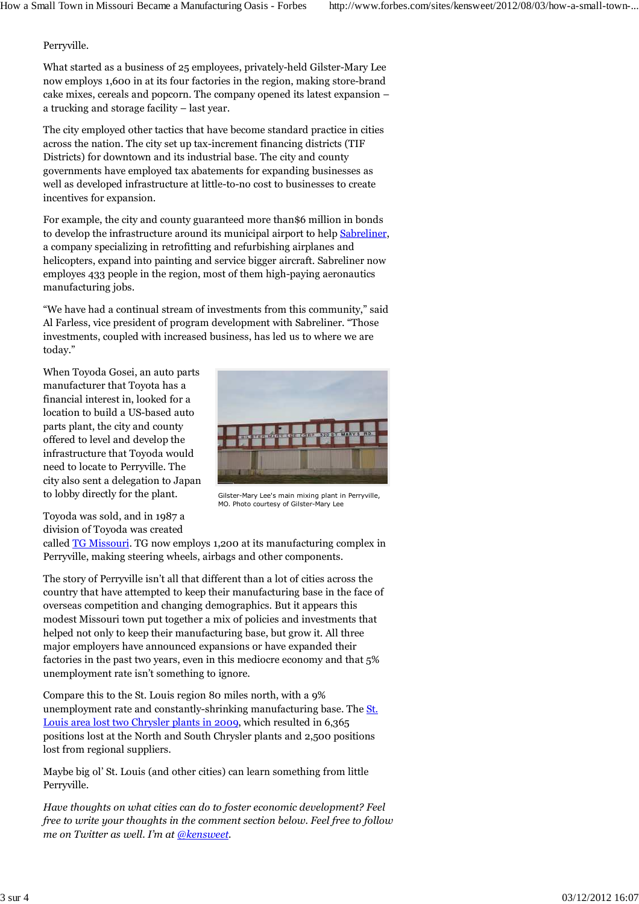## Perryville.

What started as a business of 25 employees, privately-held Gilster-Mary Lee now employs 1,600 in at its four factories in the region, making store-brand cake mixes, cereals and popcorn. The company opened its latest expansion – a trucking and storage facility – last year.

The city employed other tactics that have become standard practice in cities across the nation. The city set up tax-increment financing districts (TIF Districts) for downtown and its industrial base. The city and county governments have employed tax abatements for expanding businesses as well as developed infrastructure at little-to-no cost to businesses to create incentives for expansion.

For example, the city and county guaranteed more than\$6 million in bonds to develop the infrastructure around its municipal airport to help Sabreliner, a company specializing in retrofitting and refurbishing airplanes and helicopters, expand into painting and service bigger aircraft. Sabreliner now employes 433 people in the region, most of them high-paying aeronautics manufacturing jobs.

"We have had a continual stream of investments from this community," said Al Farless, vice president of program development with Sabreliner. "Those investments, coupled with increased business, has led us to where we are today."

When Toyoda Gosei, an auto parts manufacturer that Toyota has a financial interest in, looked for a location to build a US-based auto parts plant, the city and county offered to level and develop the infrastructure that Toyoda would need to locate to Perryville. The city also sent a delegation to Japan to lobby directly for the plant.



Gilster-Mary Lee's main mixing plant in Perryville, MO. Photo courtesy of Gilster-Mary Lee

Toyoda was sold, and in 1987 a division of Toyoda was created

called **TG Missouri**. TG now employs 1,200 at its manufacturing complex in Perryville, making steering wheels, airbags and other components.

The story of Perryville isn't all that different than a lot of cities across the country that have attempted to keep their manufacturing base in the face of overseas competition and changing demographics. But it appears this modest Missouri town put together a mix of policies and investments that helped not only to keep their manufacturing base, but grow it. All three major employers have announced expansions or have expanded their factories in the past two years, even in this mediocre economy and that 5% unemployment rate isn't something to ignore.

Compare this to the St. Louis region 80 miles north, with a 9% unemployment rate and constantly-shrinking manufacturing base. The St. Louis area lost two Chrysler plants in 2009, which resulted in 6,365 positions lost at the North and South Chrysler plants and 2,500 positions lost from regional suppliers.

Maybe big ol' St. Louis (and other cities) can learn something from little Perryville.

*Have thoughts on what cities can do to foster economic development? Feel free to write your thoughts in the comment section below. Feel free to follow me on Twitter as well. I'm at @kensweet.*